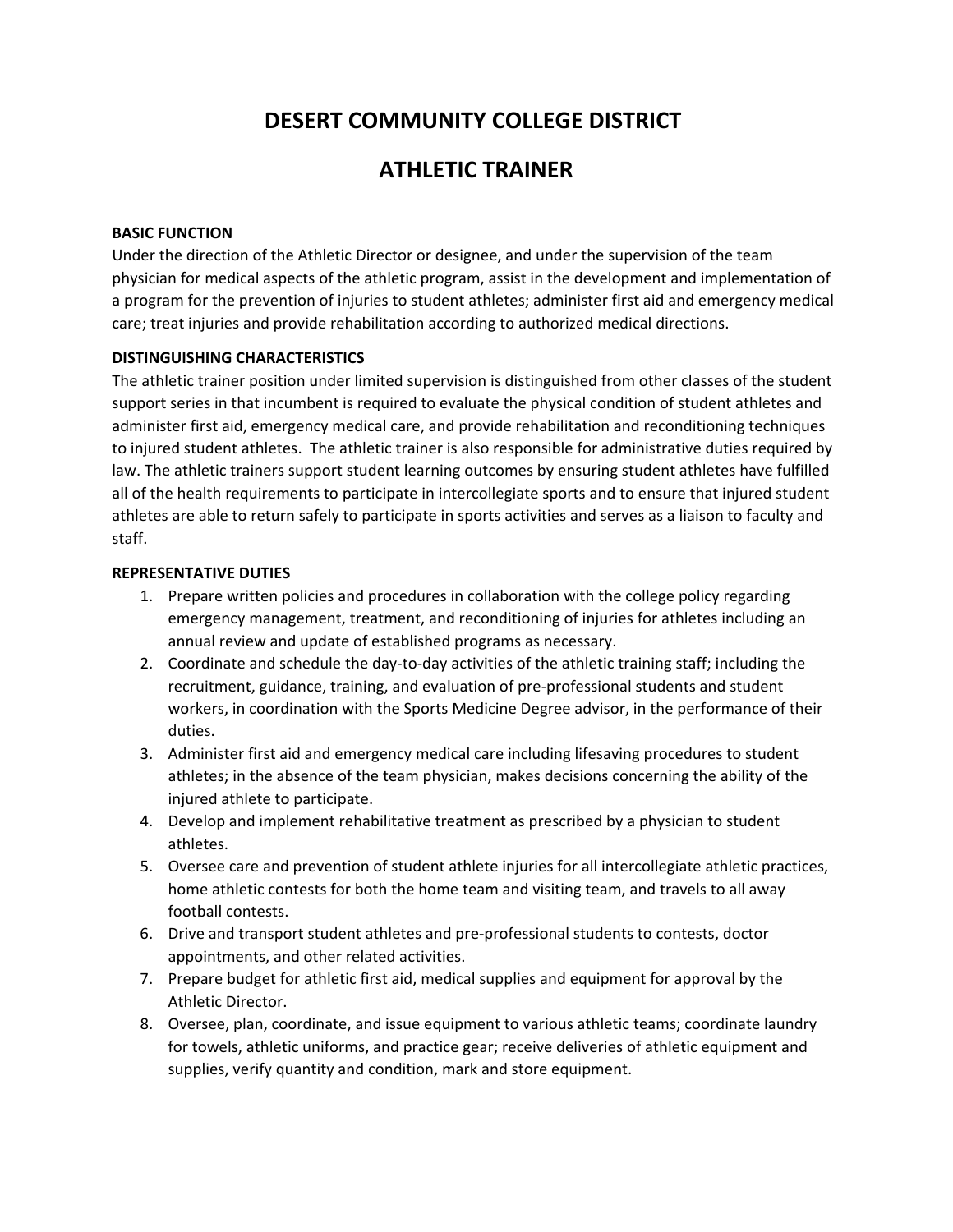# **DESERT COMMUNITY COLLEGE DISTRICT**

## **ATHLETIC TRAINER**

#### **BASIC FUNCTION**

Under the direction of the Athletic Director or designee, and under the supervision of the team physician for medical aspects of the athletic program, assist in the development and implementation of a program for the prevention of injuries to student athletes; administer first aid and emergency medical care; treat injuries and provide rehabilitation according to authorized medical directions.

## **DISTINGUISHING CHARACTERISTICS**

The athletic trainer position under limited supervision is distinguished from other classes of the student support series in that incumbent is required to evaluate the physical condition of student athletes and administer first aid, emergency medical care, and provide rehabilitation and reconditioning techniques to injured student athletes. The athletic trainer is also responsible for administrative duties required by law. The athletic trainers support student learning outcomes by ensuring student athletes have fulfilled all of the health requirements to participate in intercollegiate sports and to ensure that injured student athletes are able to return safely to participate in sports activities and serves as a liaison to faculty and staff.

#### **REPRESENTATIVE DUTIES**

- 1. Prepare written policies and procedures in collaboration with the college policy regarding emergency management, treatment, and reconditioning of injuries for athletes including an annual review and update of established programs as necessary.
- 2. Coordinate and schedule the day-to-day activities of the athletic training staff; including the recruitment, guidance, training, and evaluation of pre-professional students and student workers, in coordination with the Sports Medicine Degree advisor, in the performance of their duties.
- 3. Administer first aid and emergency medical care including lifesaving procedures to student athletes; in the absence of the team physician, makes decisions concerning the ability of the injured athlete to participate.
- 4. Develop and implement rehabilitative treatment as prescribed by a physician to student athletes.
- 5. Oversee care and prevention of student athlete injuries for all intercollegiate athletic practices, home athletic contests for both the home team and visiting team, and travels to all away football contests.
- 6. Drive and transport student athletes and pre‐professional students to contests, doctor appointments, and other related activities.
- 7. Prepare budget for athletic first aid, medical supplies and equipment for approval by the Athletic Director.
- 8. Oversee, plan, coordinate, and issue equipment to various athletic teams; coordinate laundry for towels, athletic uniforms, and practice gear; receive deliveries of athletic equipment and supplies, verify quantity and condition, mark and store equipment.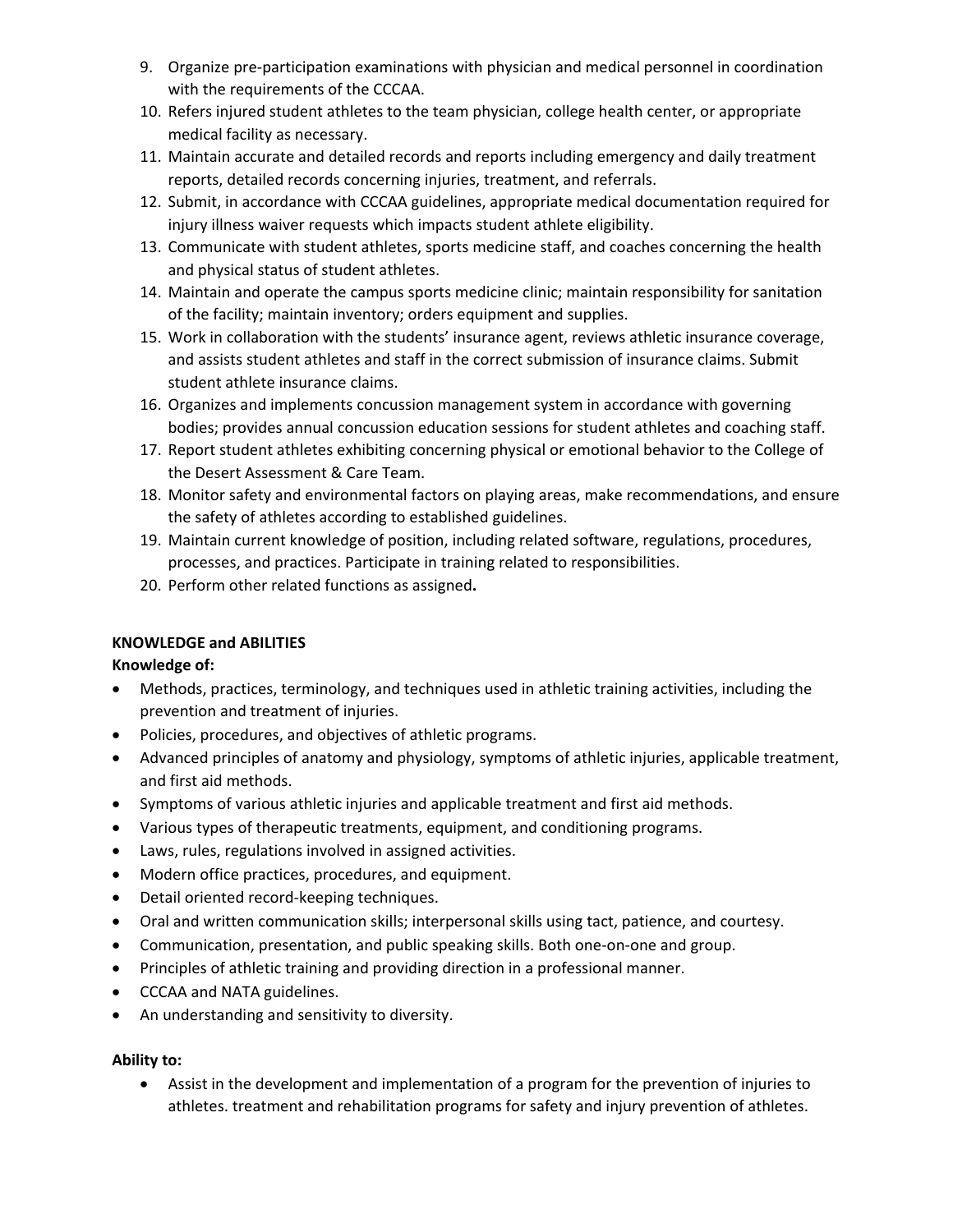- 9. Organize pre‐participation examinations with physician and medical personnel in coordination with the requirements of the CCCAA.
- 10. Refers injured student athletes to the team physician, college health center, or appropriate medical facility as necessary.
- 11. Maintain accurate and detailed records and reports including emergency and daily treatment reports, detailed records concerning injuries, treatment, and referrals.
- 12. Submit, in accordance with CCCAA guidelines, appropriate medical documentation required for injury illness waiver requests which impacts student athlete eligibility.
- 13. Communicate with student athletes, sports medicine staff, and coaches concerning the health and physical status of student athletes.
- 14. Maintain and operate the campus sports medicine clinic; maintain responsibility for sanitation of the facility; maintain inventory; orders equipment and supplies.
- 15. Work in collaboration with the students' insurance agent, reviews athletic insurance coverage, and assists student athletes and staff in the correct submission of insurance claims. Submit student athlete insurance claims.
- 16. Organizes and implements concussion management system in accordance with governing bodies; provides annual concussion education sessions for student athletes and coaching staff.
- 17. Report student athletes exhibiting concerning physical or emotional behavior to the College of the Desert Assessment & Care Team.
- 18. Monitor safety and environmental factors on playing areas, make recommendations, and ensure the safety of athletes according to established guidelines.
- 19. Maintain current knowledge of position, including related software, regulations, procedures, processes, and practices. Participate in training related to responsibilities.
- 20. Perform other related functions as assigned**.**

## **KNOWLEDGE and ABILITIES**

## **Knowledge of:**

- Methods, practices, terminology, and techniques used in athletic training activities, including the prevention and treatment of injuries.
- Policies, procedures, and objectives of athletic programs.
- Advanced principles of anatomy and physiology, symptoms of athletic injuries, applicable treatment, and first aid methods.
- Symptoms of various athletic injuries and applicable treatment and first aid methods.
- Various types of therapeutic treatments, equipment, and conditioning programs.
- Laws, rules, regulations involved in assigned activities.
- Modern office practices, procedures, and equipment.
- Detail oriented record-keeping techniques.
- Oral and written communication skills; interpersonal skills using tact, patience, and courtesy.
- Communication, presentation, and public speaking skills. Both one‐on‐one and group.
- Principles of athletic training and providing direction in a professional manner.
- CCCAA and NATA guidelines.
- An understanding and sensitivity to diversity.

## **Ability to:**

 Assist in the development and implementation of a program for the prevention of injuries to athletes. treatment and rehabilitation programs for safety and injury prevention of athletes.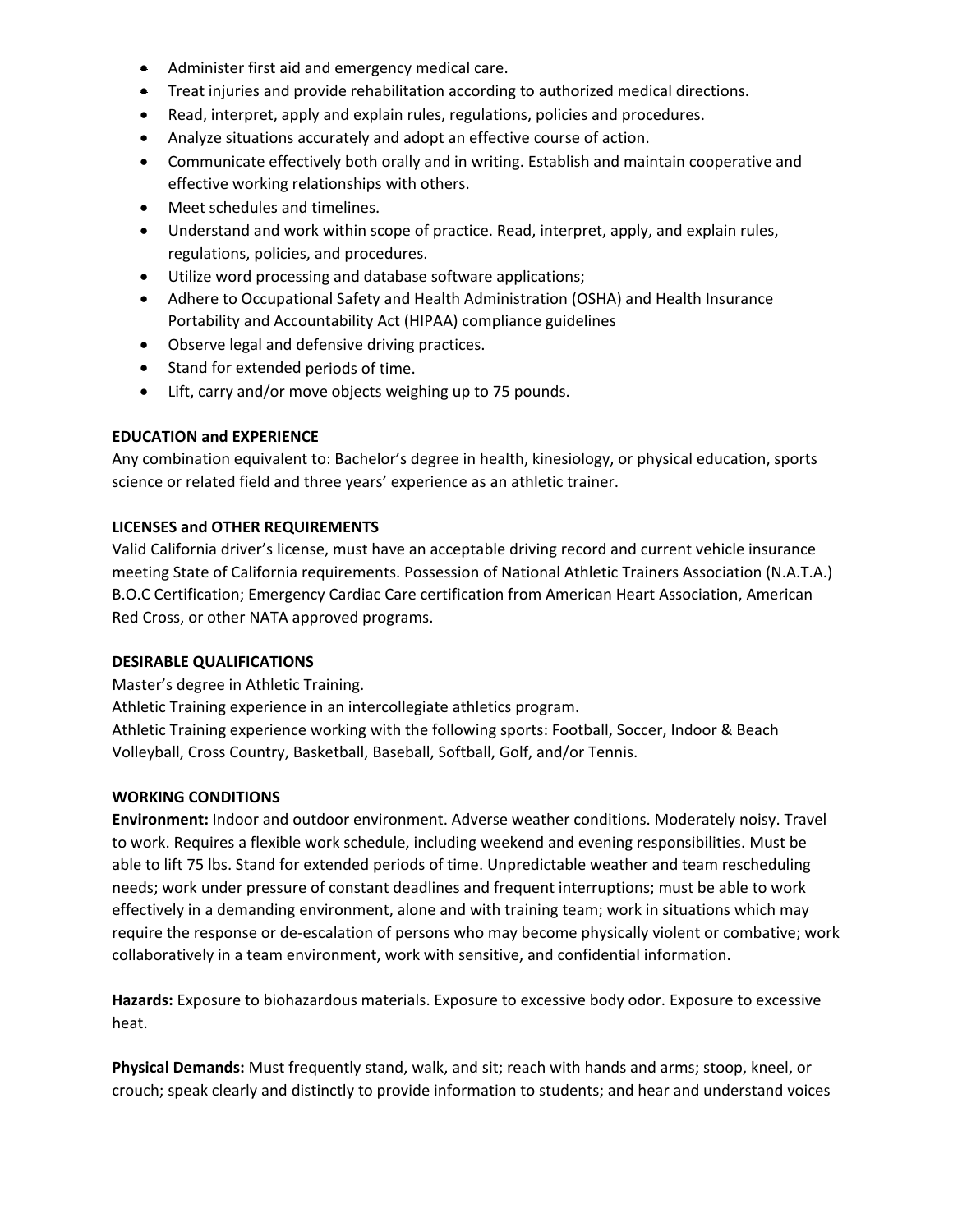- **Administer first aid and emergency medical care.**
- Treat injuries and provide rehabilitation according to authorized medical directions.
- Read, interpret, apply and explain rules, regulations, policies and procedures.
- Analyze situations accurately and adopt an effective course of action.
- Communicate effectively both orally and in writing. Establish and maintain cooperative and effective working relationships with others.
- Meet schedules and timelines.
- Understand and work within scope of practice. Read, interpret, apply, and explain rules, regulations, policies, and procedures.
- Utilize word processing and database software applications;
- Adhere to Occupational Safety and Health Administration (OSHA) and Health Insurance Portability and Accountability Act (HIPAA) compliance guidelines
- Observe legal and defensive driving practices.
- Stand for extended periods of time.
- Lift, carry and/or move objects weighing up to 75 pounds.

## **EDUCATION and EXPERIENCE**

Any combination equivalent to: Bachelor's degree in health, kinesiology, or physical education, sports science or related field and three years' experience as an athletic trainer.

## **LICENSES and OTHER REQUIREMENTS**

Valid California driver's license, must have an acceptable driving record and current vehicle insurance meeting State of California requirements. Possession of National Athletic Trainers Association (N.A.T.A.) B.O.C Certification; Emergency Cardiac Care certification from American Heart Association, American Red Cross, or other NATA approved programs.

## **DESIRABLE QUALIFICATIONS**

Master's degree in Athletic Training.

Athletic Training experience in an intercollegiate athletics program.

Athletic Training experience working with the following sports: Football, Soccer, Indoor & Beach Volleyball, Cross Country, Basketball, Baseball, Softball, Golf, and/or Tennis.

## **WORKING CONDITIONS**

**Environment:** Indoor and outdoor environment. Adverse weather conditions. Moderately noisy. Travel to work. Requires a flexible work schedule, including weekend and evening responsibilities. Must be able to lift 75 lbs. Stand for extended periods of time. Unpredictable weather and team rescheduling needs; work under pressure of constant deadlines and frequent interruptions; must be able to work effectively in a demanding environment, alone and with training team; work in situations which may require the response or de‐escalation of persons who may become physically violent or combative; work collaboratively in a team environment, work with sensitive, and confidential information.

**Hazards:** Exposure to biohazardous materials. Exposure to excessive body odor. Exposure to excessive heat.

**Physical Demands:** Must frequently stand, walk, and sit; reach with hands and arms; stoop, kneel, or crouch; speak clearly and distinctly to provide information to students; and hear and understand voices